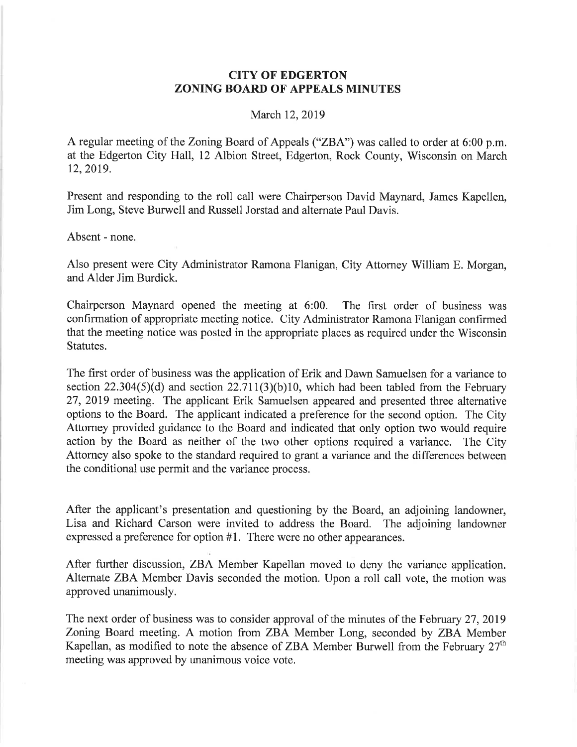## CITY OF EDGERTON ZONING BOARD OF APPEALS MINUTES

## March 12, 2019

A regular meeting of the Zoning Board of Appeals ("ZBA") was called to order at 6:00 p.m. at the Edgerton City Hall, 12 Albion Street, Edgerton, Rock County, Wisconsin on March t2,2019.

Present and responding to the roll call were Chairperson David Maynard, James Kapellen, Jim Long, Steve Burwell and Russell Jorstad and altemate Paul Davis.

Absent - none.

Also present were City Administrator Ramona Flanigan, City Attorney William E. Morgan, and Alder Jim Burdick.

Chairperson Maynard opened the meeting at 6:00. The first order of business was confirmation of appropriate meeting notice. City Administrator Ramona Flanigan confirmed that the meeting notice was posted in the appropriate places as required under the Wisconsin Statutes.

The first order of business was the application of Erik and Dawn Samuelsen for a variance to section 22.304(5)(d) and section  $22.711(3)(b)10$ , which had been tabled from the February 27, 2019 meeting. The applicant Erik Samuelsen appeared and presented three alternative options to the Board. The applicant indicated a preference for the second option. The City Attomey provided guidance to the Board and indicated that only option two would require action by the Board as neither of the two other options required a variance. The City Attorney also spoke to the standard required to grant a variance and the differences between the conditional use permit and the variance process.

After the applicant's presentation and questioning by the Board, an adjoining landowner, Lisa and Richard Carson were invited to address the Board. The adjoining landowner expressed a preference for option  $#1$ . There were no other appearances.

After further discussion, ZBA Member Kapellan moved to deny the variance application. Altemate ZBA Member Davis seconded the motion. Upon a roll call vote, the motion was approved unanimously.

The next order of business was to consider approval of the minutes of the February 27,2019 Zoning Board meeting. A motion from ZBA Member Long, seconded by ZBA Member Kapellan, as modified to note the absence of ZBA Member Burwell from the February  $27<sup>th</sup>$ meeting was approved by unanimous voice vote.